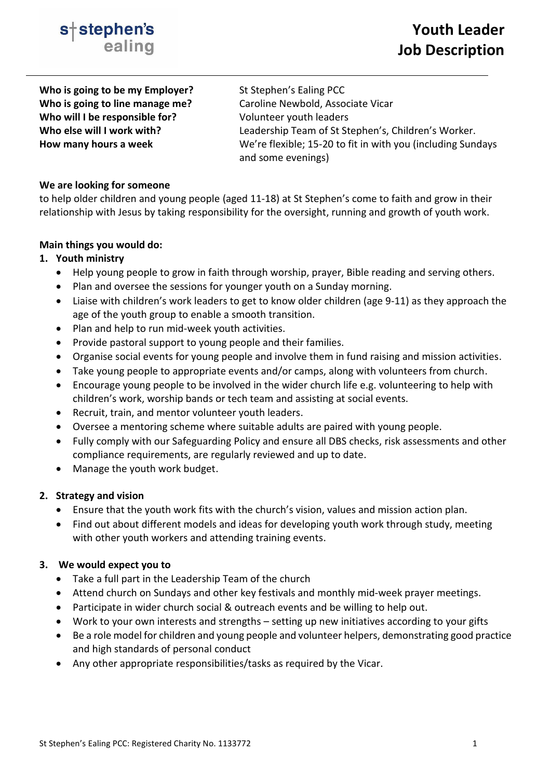

**Who is going to be my Employer?** St Stephen's Ealing PCC **Who will I be responsible for?** Volunteer youth leaders

**Who is going to line manage me?** Caroline Newbold, Associate Vicar Who else will I work with?<br>
Leadership Team of St Stephen's, Children's Worker. **How many hours a week** We're flexible; 15-20 to fit in with you (including Sundays and some evenings)

### **We are looking for someone**

to help older children and young people (aged 11-18) at St Stephen's come to faith and grow in their relationship with Jesus by taking responsibility for the oversight, running and growth of youth work.

### **Main things you would do:**

# **1. Youth ministry**

- Help young people to grow in faith through worship, prayer, Bible reading and serving others.
- Plan and oversee the sessions for younger youth on a Sunday morning.
- Liaise with children's work leaders to get to know older children (age 9-11) as they approach the age of the youth group to enable a smooth transition.
- Plan and help to run mid-week youth activities.
- Provide pastoral support to young people and their families.
- Organise social events for young people and involve them in fund raising and mission activities.
- Take young people to appropriate events and/or camps, along with volunteers from church.
- Encourage young people to be involved in the wider church life e.g. volunteering to help with children's work, worship bands or tech team and assisting at social events.
- Recruit, train, and mentor volunteer youth leaders.
- Oversee a mentoring scheme where suitable adults are paired with young people.
- Fully comply with our Safeguarding Policy and ensure all DBS checks, risk assessments and other compliance requirements, are regularly reviewed and up to date.
- Manage the youth work budget.

# **2. Strategy and vision**

- Ensure that the youth work fits with the church's vision, values and mission action plan.
- Find out about different models and ideas for developing youth work through study, meeting with other youth workers and attending training events.

### **3. We would expect you to**

- Take a full part in the Leadership Team of the church
- Attend church on Sundays and other key festivals and monthly mid-week prayer meetings.
- Participate in wider church social & outreach events and be willing to help out.
- Work to your own interests and strengths setting up new initiatives according to your gifts
- Be a role model for children and young people and volunteer helpers, demonstrating good practice and high standards of personal conduct
- Any other appropriate responsibilities/tasks as required by the Vicar.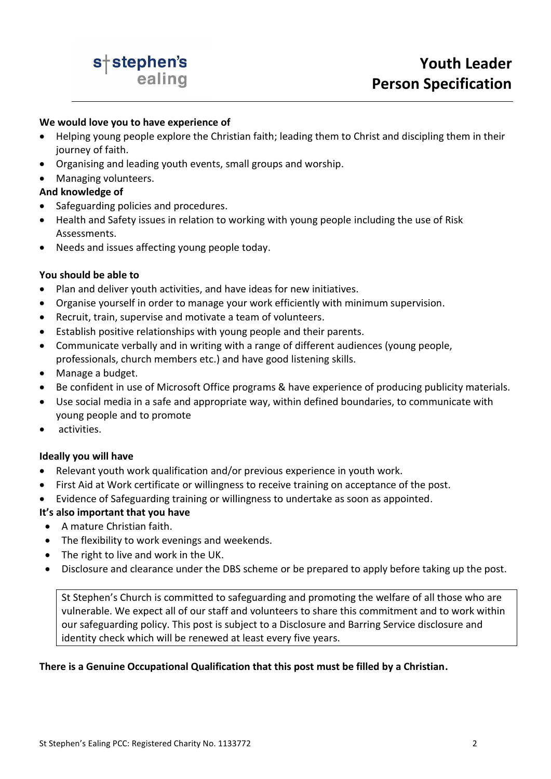

#### **We would love you to have experience of**

- Helping young people explore the Christian faith; leading them to Christ and discipling them in their journey of faith.
- Organising and leading youth events, small groups and worship.
- Managing volunteers.

## **And knowledge of**

- Safeguarding policies and procedures.
- Health and Safety issues in relation to working with young people including the use of Risk Assessments.
- Needs and issues affecting young people today.

### **You should be able to**

- Plan and deliver youth activities, and have ideas for new initiatives.
- Organise yourself in order to manage your work efficiently with minimum supervision.
- Recruit, train, supervise and motivate a team of volunteers.
- Establish positive relationships with young people and their parents.
- Communicate verbally and in writing with a range of different audiences (young people, professionals, church members etc.) and have good listening skills.
- Manage a budget.
- Be confident in use of Microsoft Office programs & have experience of producing publicity materials.
- Use social media in a safe and appropriate way, within defined boundaries, to communicate with young people and to promote
- activities.

### **Ideally you will have**

- Relevant youth work qualification and/or previous experience in youth work.
- First Aid at Work certificate or willingness to receive training on acceptance of the post.
- Evidence of Safeguarding training or willingness to undertake as soon as appointed.

### **It's also important that you have**

- A mature Christian faith.
- The flexibility to work evenings and weekends.
- The right to live and work in the UK.
- Disclosure and clearance under the DBS scheme or be prepared to apply before taking up the post.

St Stephen's Church is committed to safeguarding and promoting the welfare of all those who are vulnerable. We expect all of our staff and volunteers to share this commitment and to work within our safeguarding policy. This post is subject to a Disclosure and Barring Service disclosure and identity check which will be renewed at least every five years.

### **There is a Genuine Occupational Qualification that this post must be filled by a Christian.**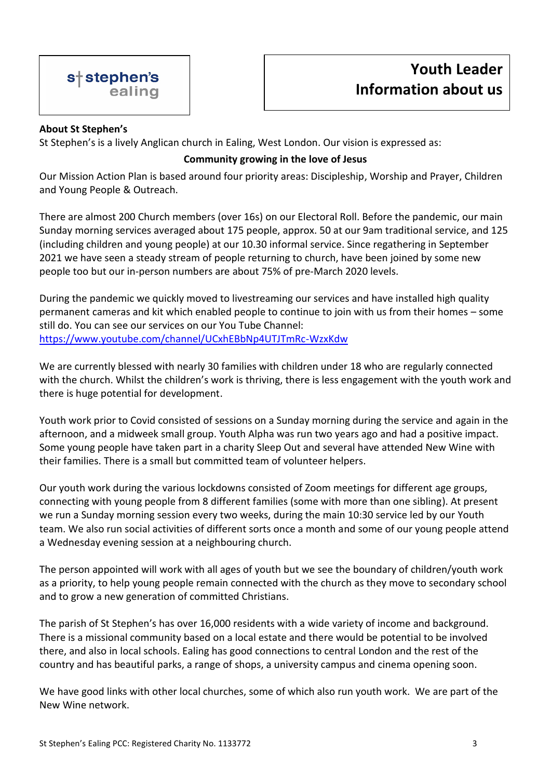## **About St Stephen's**

St Stephen's is a lively Anglican church in Ealing, West London. Our vision is expressed as:

# **Community growing in the love of Jesus**

Our Mission Action Plan is based around four priority areas: Discipleship, Worship and Prayer, Children and Young People & Outreach.

There are almost 200 Church members (over 16s) on our Electoral Roll. Before the pandemic, our main Sunday morning services averaged about 175 people, approx. 50 at our 9am traditional service, and 125 (including children and young people) at our 10.30 informal service. Since regathering in September 2021 we have seen a steady stream of people returning to church, have been joined by some new people too but our in-person numbers are about 75% of pre-March 2020 levels.

During the pandemic we quickly moved to livestreaming our services and have installed high quality permanent cameras and kit which enabled people to continue to join with us from their homes – some still do. You can see our services on our You Tube Channel: <https://www.youtube.com/channel/UCxhEBbNp4UTJTmRc-WzxKdw>

We are currently blessed with nearly 30 families with children under 18 who are regularly connected with the church. Whilst the children's work is thriving, there is less engagement with the youth work and there is huge potential for development.

Youth work prior to Covid consisted of sessions on a Sunday morning during the service and again in the afternoon, and a midweek small group. Youth Alpha was run two years ago and had a positive impact. Some young people have taken part in a charity Sleep Out and several have attended New Wine with their families. There is a small but committed team of volunteer helpers.

Our youth work during the various lockdowns consisted of Zoom meetings for different age groups, connecting with young people from 8 different families (some with more than one sibling). At present we run a Sunday morning session every two weeks, during the main 10:30 service led by our Youth team. We also run social activities of different sorts once a month and some of our young people attend a Wednesday evening session at a neighbouring church.

The person appointed will work with all ages of youth but we see the boundary of children/youth work as a priority, to help young people remain connected with the church as they move to secondary school and to grow a new generation of committed Christians.

The parish of St Stephen's has over 16,000 residents with a wide variety of income and background. There is a missional community based on a local estate and there would be potential to be involved there, and also in local schools. Ealing has good connections to central London and the rest of the country and has beautiful parks, a range of shops, a university campus and cinema opening soon.

We have good links with other local churches, some of which also run youth work. We are part of the New Wine network.